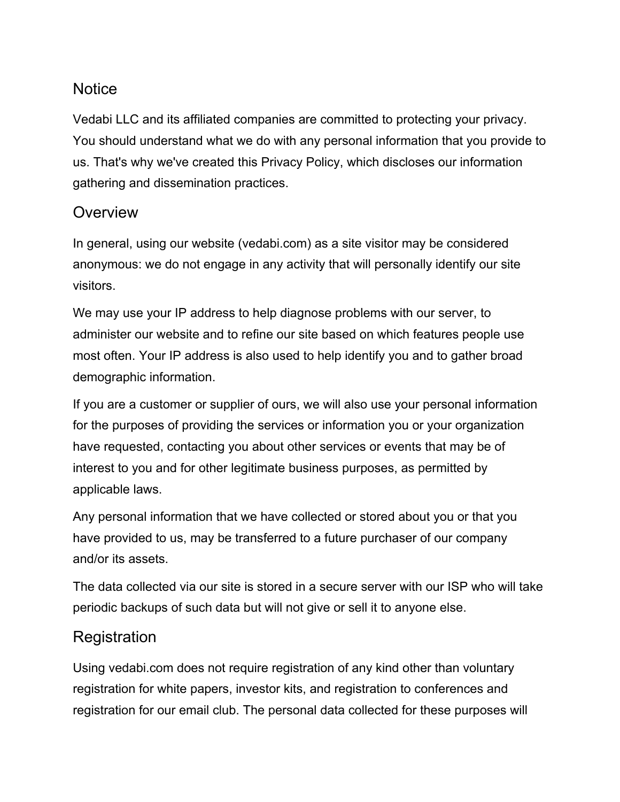### **Notice**

Vedabi LLC and its affiliated companies are committed to protecting your privacy. You should understand what we do with any personal information that you provide to us. That's why we've created this Privacy Policy, which discloses our information gathering and dissemination practices.

#### **Overview**

In general, using our website (vedabi.com) as a site visitor may be considered anonymous: we do not engage in any activity that will personally identify our site visitors.

We may use your IP address to help diagnose problems with our server, to administer our website and to refine our site based on which features people use most often. Your IP address is also used to help identify you and to gather broad demographic information.

If you are a customer or supplier of ours, we will also use your personal information for the purposes of providing the services or information you or your organization have requested, contacting you about other services or events that may be of interest to you and for other legitimate business purposes, as permitted by applicable laws.

Any personal information that we have collected or stored about you or that you have provided to us, may be transferred to a future purchaser of our company and/or its assets.

The data collected via our site is stored in a secure server with our ISP who will take periodic backups of such data but will not give or sell it to anyone else.

#### **Registration**

Using vedabi.com does not require registration of any kind other than voluntary registration for white papers, investor kits, and registration to conferences and registration for our email club. The personal data collected for these purposes will